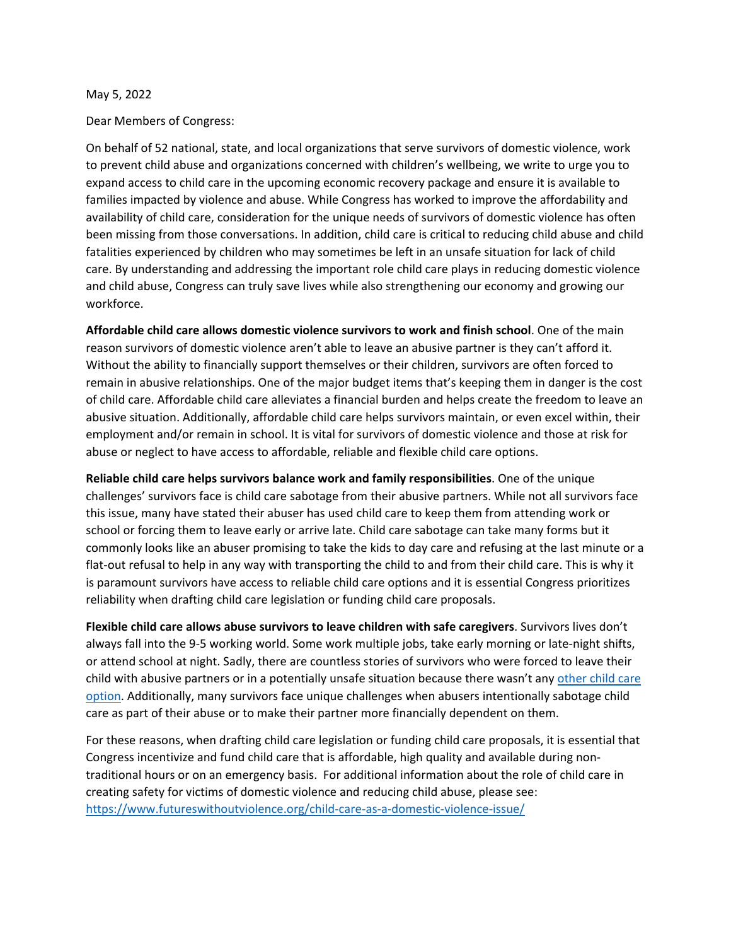## May 5, 2022

Dear Members of Congress:

On behalf of 52 national, state, and local organizations that serve survivors of domestic violence, work to prevent child abuse and organizations concerned with children's wellbeing, we write to urge you to expand access to child care in the upcoming economic recovery package and ensure it is available to families impacted by violence and abuse. While Congress has worked to improve the affordability and availability of child care, consideration for the unique needs of survivors of domestic violence has often been missing from those conversations. In addition, child care is critical to reducing child abuse and child fatalities experienced by children who may sometimes be left in an unsafe situation for lack of child care. By understanding and addressing the important role child care plays in reducing domestic violence and child abuse, Congress can truly save lives while also strengthening our economy and growing our workforce.

**Affordable child care allows domestic violence survivors to work and finish school**. One of the main reason survivors of domestic violence aren't able to leave an abusive partner is they can't afford it. Without the ability to financially support themselves or their children, survivors are often forced to remain in abusive relationships. One of the major budget items that's keeping them in danger is the cost of child care. Affordable child care alleviates a financial burden and helps create the freedom to leave an abusive situation. Additionally, affordable child care helps survivors maintain, or even excel within, their employment and/or remain in school. It is vital for survivors of domestic violence and those at risk for abuse or neglect to have access to affordable, reliable and flexible child care options.

**Reliable child care helps survivors balance work and family responsibilities**. One of the unique challenges' survivors face is child care sabotage from their abusive partners. While not all survivors face this issue, many have stated their abuser has used child care to keep them from attending work or school or forcing them to leave early or arrive late. Child care sabotage can take many forms but it commonly looks like an abuser promising to take the kids to day care and refusing at the last minute or a flat-out refusal to help in any way with transporting the child to and from their child care. This is why it is paramount survivors have access to reliable child care options and it is essential Congress prioritizes reliability when drafting child care legislation or funding child care proposals.

**Flexible child care allows abuse survivors to leave children with safe caregivers**. Survivors lives don't always fall into the 9-5 working world. Some work multiple jobs, take early morning or late-night shifts, or attend school at night. Sadly, there are countless stories of survivors who were forced to leave their child with abusive partners or in a potentially unsafe situation because there wasn't any [other child care](https://www.motherjones.com/crime-justice/2022/02/child-abuse-mothers-sexist-failure-to-protect-law-rebecca-hogue-oklahoma/)  [option.](https://www.motherjones.com/crime-justice/2022/02/child-abuse-mothers-sexist-failure-to-protect-law-rebecca-hogue-oklahoma/) Additionally, many survivors face unique challenges when abusers intentionally sabotage child care as part of their abuse or to make their partner more financially dependent on them.

For these reasons, when drafting child care legislation or funding child care proposals, it is essential that Congress incentivize and fund child care that is affordable, high quality and available during nontraditional hours or on an emergency basis. For additional information about the role of child care in creating safety for victims of domestic violence and reducing child abuse, please see: <https://www.futureswithoutviolence.org/child-care-as-a-domestic-violence-issue/>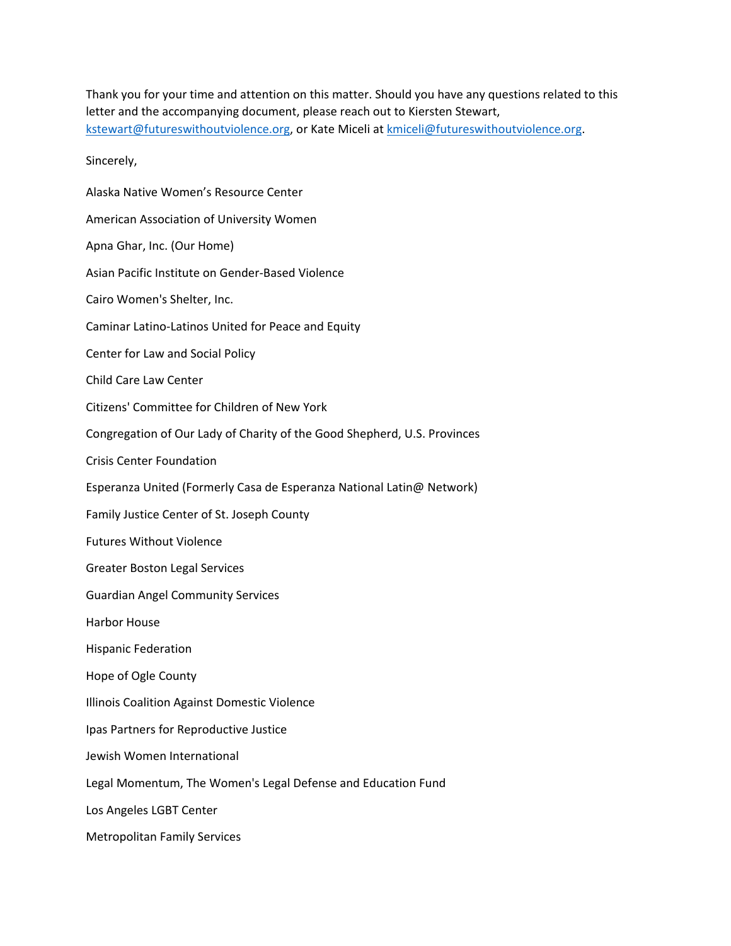Thank you for your time and attention on this matter. Should you have any questions related to this letter and the accompanying document, please reach out to Kiersten Stewart, [kstewart@futureswithoutviolence.org,](mailto:kstewart@futureswithoutviolence.org) or Kate Miceli at [kmiceli@futureswithoutviolence.org.](mailto:kmiceli@futureswithoutviolence.org)

Sincerely,

Alaska Native Women's Resource Center American Association of University Women Apna Ghar, Inc. (Our Home) Asian Pacific Institute on Gender-Based Violence Cairo Women's Shelter, Inc. Caminar Latino-Latinos United for Peace and Equity Center for Law and Social Policy Child Care Law Center Citizens' Committee for Children of New York Congregation of Our Lady of Charity of the Good Shepherd, U.S. Provinces Crisis Center Foundation Esperanza United (Formerly Casa de Esperanza National Latin@ Network) Family Justice Center of St. Joseph County Futures Without Violence Greater Boston Legal Services Guardian Angel Community Services Harbor House Hispanic Federation Hope of Ogle County Illinois Coalition Against Domestic Violence Ipas Partners for Reproductive Justice Jewish Women International Legal Momentum, The Women's Legal Defense and Education Fund Los Angeles LGBT Center Metropolitan Family Services